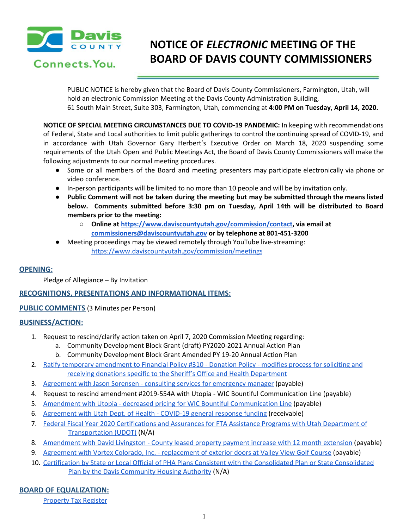

Connects, You.

# **NOTICE OF** *ELECTRONIC* **MEETING OF THE BOARD OF DAVIS COUNTY COMMISSIONERS**

PUBLIC NOTICE is hereby given that the Board of Davis County Commissioners, Farmington, Utah, will hold an electronic Commission Meeting at the Davis County Administration Building, 61 South Main Street, Suite 303, Farmington, Utah, commencing at **4:00 PM on Tuesday, April 14, 2020.**

**NOTICE OF SPECIAL MEETING CIRCUMSTANCES DUE TO COVID-19 PANDEMIC:** In keeping with recommendations of Federal, State and Local authorities to limit public gatherings to control the continuing spread of COVID-19, and in accordance with Utah Governor Gary Herbert's Executive Order on March 18, 2020 suspending some requirements of the Utah Open and Public Meetings Act, the Board of Davis County Commissioners will make the following adjustments to our normal meeting procedures.

- Some or all members of the Board and meeting presenters may participate electronically via phone or video conference.
- In-person participants will be limited to no more than 10 people and will be by invitation only.
- Public Comment will not be taken during the meeting but may be submitted through the means listed **below. Comments submitted before 3:30 pm on Tuesday, April 14th will be distributed to Board members prior to the meeting:**
	- **○ Online at <https://www.daviscountyutah.gov/commission/contact>, via email at [commissioners@daviscountyutah.gov](mailto:commissioners@daviscountyutah.gov) or by telephone at 801-451-3200**
- Meeting proceedings may be viewed remotely through YouTube live-streaming: <https://www.daviscountyutah.gov/commission/meetings>

## **OPENING:**

Pledge of Allegiance – By Invitation

## **RECOGNITIONS, PRESENTATIONS AND INFORMATIONAL ITEMS:**

## **PUBLIC COMMENTS** (3 Minutes per Person)

#### **BUSINESS/ACTION:**

- 1. Request to rescind/clarify action taken on April 7, 2020 Commission Meeting regarding:
	- a. Community Development Block Grant (draft) PY2020-2021 Annual Action Plan
	- b. Community Development Block Grant Amended PY 19-20 Annual Action Plan
- 2. Ratify temporary [amendment](https://drive.google.com/a/co.davis.ut.us/file/d/1Uw_TaeuluyUS9JuP2ZF6Qk6rbbOkkPwE/view?usp=drivesdk) to Financial Policy #310 Donation Policy modifies process for soliciting and receiving donations specific to the Sheriff's Office and Health [Department](https://drive.google.com/a/co.davis.ut.us/file/d/1Uw_TaeuluyUS9JuP2ZF6Qk6rbbOkkPwE/view?usp=drivesdk)
- 3. [Agreement](https://drive.google.com/a/co.davis.ut.us/file/d/1hpGhIN2qn0IVFnx81AV9gLdyCzGZ6KOw/view?usp=drivesdk) with Jason Sorensen consulting services for emergency manager (payable)
- 4. Request to rescind amendment #2019-554A with Utopia WIC Bountiful Communication Line (payable)
- 5. Amendment with Utopia decreased pricing for WIC Bountiful Communication Line (payable)
- 6. [Agreement](https://drive.google.com/a/co.davis.ut.us/file/d/1F_C8iarsjlHfaXP0uYwnrAqIu0szH_pL/view?usp=drivesdk) with Utah Dept. of Health COVID-19 general response funding (receivable)
- 7. Federal Fiscal Year 2020 [Certifications](https://drive.google.com/a/co.davis.ut.us/file/d/1aEiagUNk7MYLT4ZDMSC1dhn0DFmWq6B-/view?usp=drivesdk) and Assurances for FTA Assistance Programs with Utah Department of [Transportation](https://drive.google.com/a/co.davis.ut.us/file/d/1aEiagUNk7MYLT4ZDMSC1dhn0DFmWq6B-/view?usp=drivesdk) (UDOT) (N/A)
- 8. [Amendment](https://drive.google.com/a/co.davis.ut.us/file/d/1H-AVQvZ7KQjCslgHoelty94sqZFPZ9ci/view?usp=drivesdk) with David Livingston County leased property payment increase with 12 month extension (payable)
- 9. Agreement with Vortex Colorado, Inc. [replacement](https://drive.google.com/a/co.davis.ut.us/file/d/1bKAU0HuC2qjk7FltwGUiJwu8mNPnEjaI/view?usp=drivesdk) of exterior doors at Valley View Golf Course (payable)
- 10. Certification by State or Local Official of PHA Plans Consistent with the Consolidated Plan or State [Consolidated](https://drive.google.com/a/co.davis.ut.us/file/d/1pxJ9m_0KE11Ud8AjbZli2pRyfMw54Z-j/view?usp=drivesdk) Plan by the Davis [Community](https://drive.google.com/a/co.davis.ut.us/file/d/1pxJ9m_0KE11Ud8AjbZli2pRyfMw54Z-j/view?usp=drivesdk) Housing Authority (N/A)

## **BOARD OF EQUALIZATION:**

[Property](https://drive.google.com/a/co.davis.ut.us/file/d/1LahrWzN3ecbDWIlLInWzyBwdh3UgXasn/view?usp=drivesdk) Tax Register